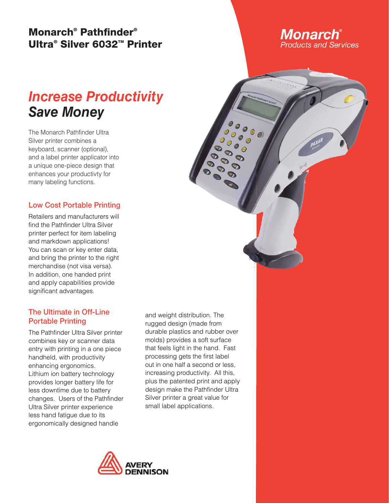## **Monarch® Pathfi nder® Ultra® Silver 6032™ Printer**

# *Increase Productivity Save Money*

The Monarch Pathfinder Ultra Silver printer combines a keyboard, scanner (optional), and a label printer applicator into a unique one-piece design that enhances your productivty for many labeling functions.

**Low Cost Portable Printing** Retailers and manufacturers will find the Pathfinder Ultra Silver printer perfect for item labeling and markdown applications! You can scan or key enter data, and bring the printer to the right merchandise (not visa versa). In addition, one handed print and apply capabilities provide significant advantages.

### The Ultimate in Off-Line **Portable Printing**

**The Pathfinder Ultra Silver printer** combines key or scanner data entry with printing in a one piece handheld, with productivity enhancing ergonomics. Lithium ion battery technology provides longer battery life for less downtime due to battery changes. Users of the Pathfinder Ultra Silver printer experience less hand fatigue due to its ergonomically designed handle

and weight distribution. The rugged design (made from durable plastics and rubber over molds) provides a soft surface that feels light in the hand. Fast processing gets the first label out in one half a second or less, increasing productivity. All this, plus the patented print and apply design make the Pathfinder Ultra Silver printer a great value for small label applications.



**Monarch**® **Products and Services**